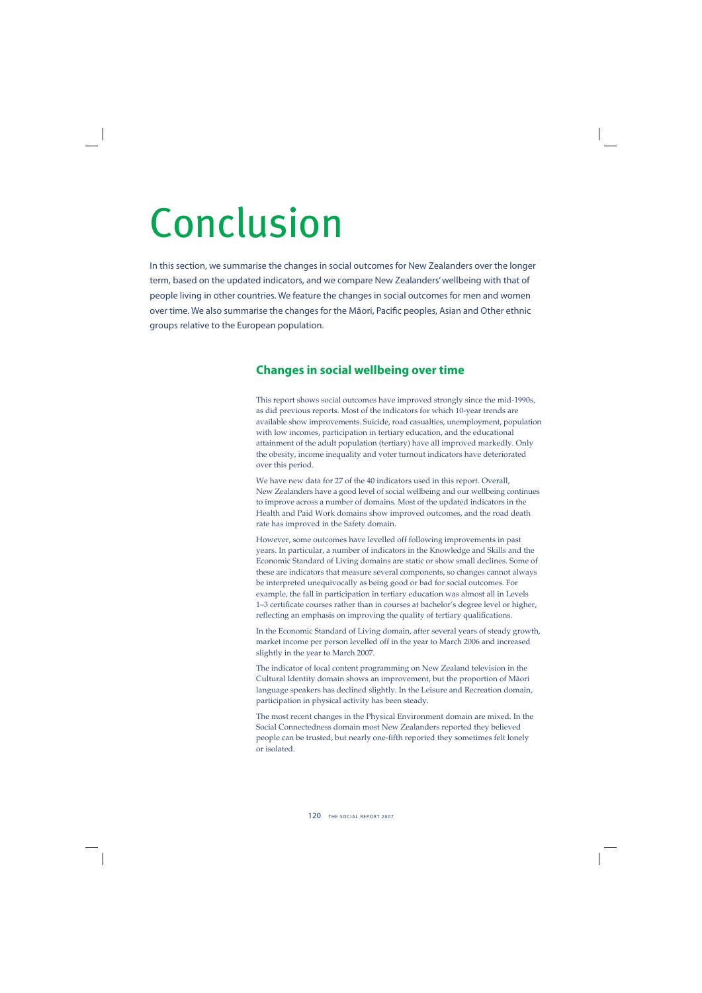# Conclusion

In this section, we summarise the changes in social outcomes for New Zealanders over the longer term, based on the updated indicators, and we compare New Zealanders' wellbeing with that of people living in other countries. We feature the changes in social outcomes for men and women over time. We also summarise the changes for the Māori, Pacific peoples, Asian and Other ethnic groups relative to the European population.

## **Changes in social wellbeing over time**

This report shows social outcomes have improved strongly since the mid-1990s, as did previous reports. Most of the indicators for which 10-year trends are available show improvements. Suicide, road casualties, unemployment, population with low incomes, participation in tertiary education, and the educational attainment of the adult population (tertiary) have all improved markedly. Only the obesity, income inequality and voter turnout indicators have deteriorated over this period.

We have new data for 27 of the 40 indicators used in this report. Overall, New Zealanders have a good level of social wellbeing and our wellbeing continues to improve across a number of domains. Most of the updated indicators in the Health and Paid Work domains show improved outcomes, and the road death rate has improved in the Safety domain.

However, some outcomes have levelled off following improvements in past years. In particular, a number of indicators in the Knowledge and Skills and the Economic Standard of Living domains are static or show small declines. Some of these are indicators that measure several components, so changes cannot always be interpreted unequivocally as being good or bad for social outcomes. For example, the fall in participation in tertiary education was almost all in Levels 1-3 certificate courses rather than in courses at bachelor's degree level or higher, reflecting an emphasis on improving the quality of tertiary qualifications.

In the Economic Standard of Living domain, after several years of steady growth, market income per person levelled off in the year to March 2006 and increased slightly in the year to March 2007.

The indicator of local content programming on New Zealand television in the Cultural Identity domain shows an improvement, but the proportion of Mäori language speakers has declined slightly. In the Leisure and Recreation domain, participation in physical activity has been steady.

The most recent changes in the Physical Environment domain are mixed. In the Social Connectedness domain most New Zealanders reported they believed people can be trusted, but nearly one-fifth reported they sometimes felt lonely or isolated.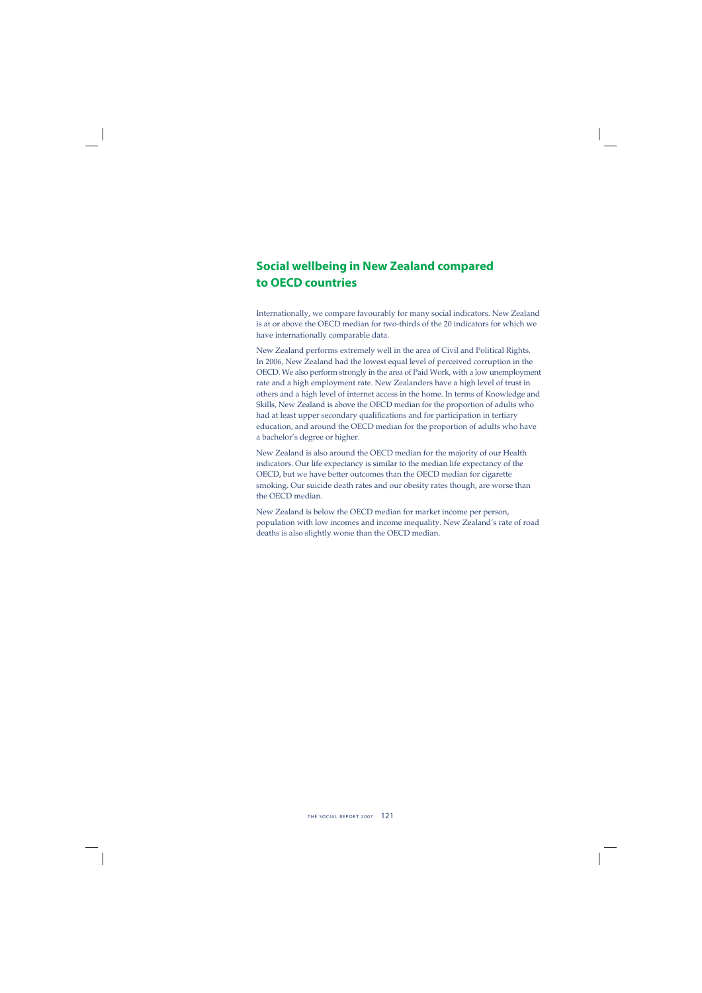## **Social wellbeing in New Zealand compared to OECD countries**

Internationally, we compare favourably for many social indicators. New Zealand is at or above the OECD median for two-thirds of the 20 indicators for which we have internationally comparable data.

New Zealand performs extremely well in the area of Civil and Political Rights. In 2006, New Zealand had the lowest equal level of perceived corruption in the OECD. We also perform strongly in the area of Paid Work, with a low unemployment rate and a high employment rate. New Zealanders have a high level of trust in others and a high level of internet access in the home. In terms of Knowledge and Skills, New Zealand is above the OECD median for the proportion of adults who had at least upper secondary qualifications and for participation in tertiary education, and around the OECD median for the proportion of adults who have a bachelor's degree or higher.

New Zealand is also around the OECD median for the majority of our Health indicators. Our life expectancy is similar to the median life expectancy of the OECD, but we have better outcomes than the OECD median for cigarette smoking. Our suicide death rates and our obesity rates though, are worse than the OECD median.

New Zealand is below the OECD median for market income per person, population with low incomes and income inequality. New Zealand's rate of road deaths is also slightly worse than the OECD median.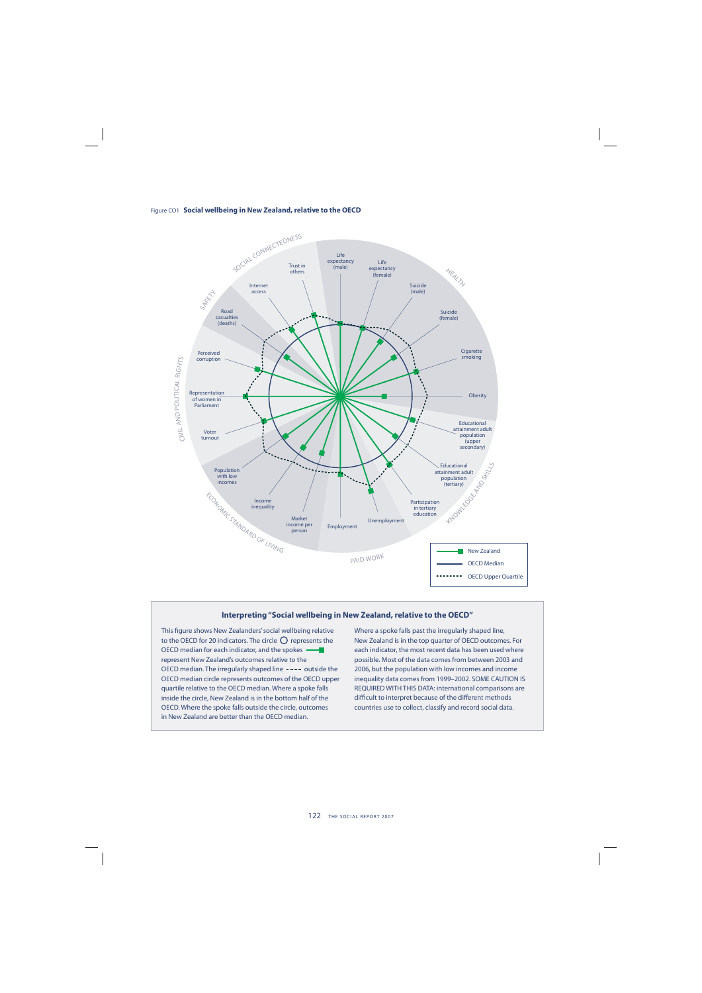



#### **Interpreting "Social wellbeing in New Zealand, relative to the OECD"**

This figure shows New Zealanders' social wellbeing relative to the OECD for 20 indicators. The circle  $\bigcirc$  represents the OECD median for each indicator, and the spokes represent New Zealand's outcomes relative to the OECD median. The irregularly shaped line ---- outside the OECD median circle represents outcomes of the OECD upper quartile relative to the OECD median. Where a spoke falls inside the circle, New Zealand is in the bottom half of the OECD. Where the spoke falls outside the circle, outcomes in New Zealand are better than the OECD median.

Where a spoke falls past the irregularly shaped line, New Zealand is in the top quarter of OECD outcomes. For each indicator, the most recent data has been used where possible. Most of the data comes from between 2003 and 2006, but the population with low incomes and income inequality data comes from 1999–2002. SOME CAUTION IS REQUIRED WITH THIS DATA: international comparisons are difficult to interpret because of the different methods countries use to collect, classify and record social data.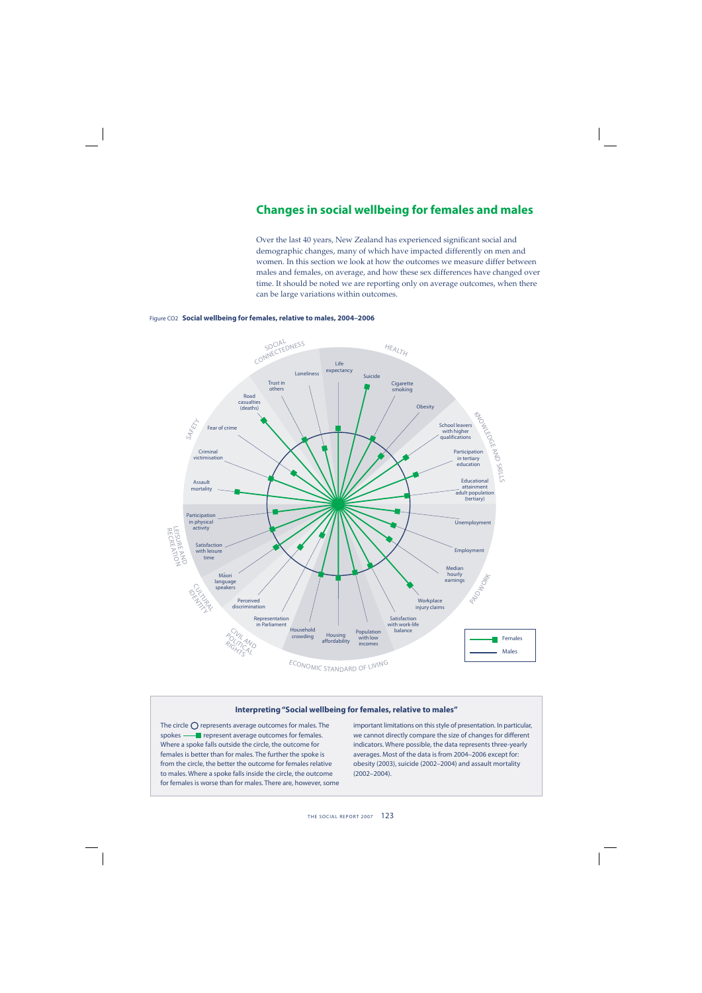## **Changes in social wellbeing for females and males**

Over the last 40 years, New Zealand has experienced significant social and demographic changes, many of which have impacted differently on men and women. In this section we look at how the outcomes we measure differ between males and females, on average, and how these sex differences have changed over time. It should be noted we are reporting only on average outcomes, when there can be large variations within outcomes.



#### Figure CO2 **Social wellbeing for females, relative to males, 2004–2006**

#### **Interpreting "Social wellbeing for females, relative to males"**

The circle  $\bigcap$  represents average outcomes for males. The spokes - **represent average outcomes for females.** Where a spoke falls outside the circle, the outcome for females is better than for males. The further the spoke is from the circle, the better the outcome for females relative to males. Where a spoke falls inside the circle, the outcome for females is worse than for males. There are, however, some important limitations on this style of presentation. In particular, we cannot directly compare the size of changes for different indicators. Where possible, the data represents three-yearly averages. Most of the data is from 2004–2006 except for: obesity (2003), suicide (2002–2004) and assault mortality (2002–2004).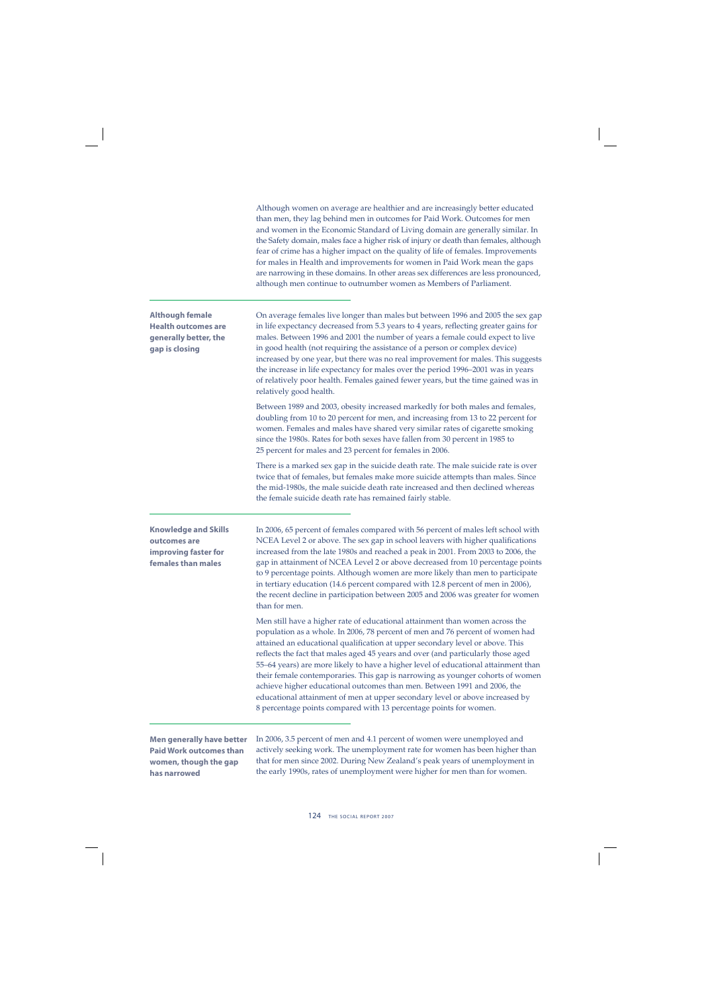|                                                                                                 | Although women on average are healthier and are increasingly better educated<br>than men, they lag behind men in outcomes for Paid Work. Outcomes for men<br>and women in the Economic Standard of Living domain are generally similar. In<br>the Safety domain, males face a higher risk of injury or death than females, although<br>fear of crime has a higher impact on the quality of life of females. Improvements<br>for males in Health and improvements for women in Paid Work mean the gaps<br>are narrowing in these domains. In other areas sex differences are less pronounced,<br>although men continue to outnumber women as Members of Parliament.                                                                          |
|-------------------------------------------------------------------------------------------------|---------------------------------------------------------------------------------------------------------------------------------------------------------------------------------------------------------------------------------------------------------------------------------------------------------------------------------------------------------------------------------------------------------------------------------------------------------------------------------------------------------------------------------------------------------------------------------------------------------------------------------------------------------------------------------------------------------------------------------------------|
| <b>Although female</b><br><b>Health outcomes are</b><br>generally better, the<br>gap is closing | On average females live longer than males but between 1996 and 2005 the sex gap<br>in life expectancy decreased from 5.3 years to 4 years, reflecting greater gains for<br>males. Between 1996 and 2001 the number of years a female could expect to live<br>in good health (not requiring the assistance of a person or complex device)<br>increased by one year, but there was no real improvement for males. This suggests<br>the increase in life expectancy for males over the period 1996–2001 was in years<br>of relatively poor health. Females gained fewer years, but the time gained was in<br>relatively good health.                                                                                                           |
|                                                                                                 | Between 1989 and 2003, obesity increased markedly for both males and females,<br>doubling from 10 to 20 percent for men, and increasing from 13 to 22 percent for<br>women. Females and males have shared very similar rates of cigarette smoking<br>since the 1980s. Rates for both sexes have fallen from 30 percent in 1985 to<br>25 percent for males and 23 percent for females in 2006.                                                                                                                                                                                                                                                                                                                                               |
|                                                                                                 | There is a marked sex gap in the suicide death rate. The male suicide rate is over<br>twice that of females, but females make more suicide attempts than males. Since<br>the mid-1980s, the male suicide death rate increased and then declined whereas<br>the female suicide death rate has remained fairly stable.                                                                                                                                                                                                                                                                                                                                                                                                                        |
| <b>Knowledge and Skills</b><br>outcomes are<br>improving faster for<br>females than males       | In 2006, 65 percent of females compared with 56 percent of males left school with<br>NCEA Level 2 or above. The sex gap in school leavers with higher qualifications<br>increased from the late 1980s and reached a peak in 2001. From 2003 to 2006, the<br>gap in attainment of NCEA Level 2 or above decreased from 10 percentage points<br>to 9 percentage points. Although women are more likely than men to participate<br>in tertiary education (14.6 percent compared with 12.8 percent of men in 2006),<br>the recent decline in participation between 2005 and 2006 was greater for women<br>than for men.                                                                                                                         |
|                                                                                                 | Men still have a higher rate of educational attainment than women across the<br>population as a whole. In 2006, 78 percent of men and 76 percent of women had<br>attained an educational qualification at upper secondary level or above. This<br>reflects the fact that males aged 45 years and over (and particularly those aged<br>55-64 years) are more likely to have a higher level of educational attainment than<br>their female contemporaries. This gap is narrowing as younger cohorts of women<br>achieve higher educational outcomes than men. Between 1991 and 2006, the<br>educational attainment of men at upper secondary level or above increased by<br>8 percentage points compared with 13 percentage points for women. |
| <b>Men generally have better</b>                                                                | In 2006, 3.5 percent of men and 4.1 percent of women were unemployed and                                                                                                                                                                                                                                                                                                                                                                                                                                                                                                                                                                                                                                                                    |

**Paid Work outcomes than women, though the gap has narrowed**

In 2006, 3.5 percent of men and 4.1 percent of women were unemployed and actively seeking work. The unemployment rate for women has been higher than that for men since 2002. During New Zealand's peak years of unemployment in the early 1990s, rates of unemployment were higher for men than for women.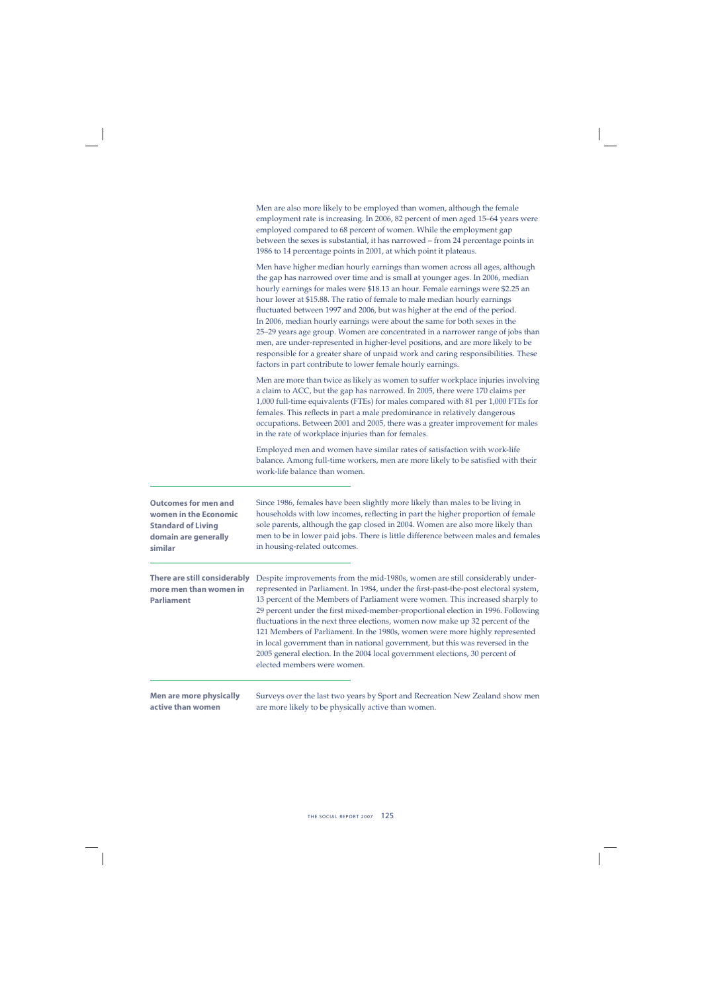|                                                                                                                      | Men are also more likely to be employed than women, although the female<br>employment rate is increasing. In 2006, 82 percent of men aged 15-64 years were<br>employed compared to 68 percent of women. While the employment gap<br>between the sexes is substantial, it has narrowed - from 24 percentage points in<br>1986 to 14 percentage points in 2001, at which point it plateaus.                                                                                                                                                                                                                                                                                                                                                                                                                      |
|----------------------------------------------------------------------------------------------------------------------|----------------------------------------------------------------------------------------------------------------------------------------------------------------------------------------------------------------------------------------------------------------------------------------------------------------------------------------------------------------------------------------------------------------------------------------------------------------------------------------------------------------------------------------------------------------------------------------------------------------------------------------------------------------------------------------------------------------------------------------------------------------------------------------------------------------|
|                                                                                                                      | Men have higher median hourly earnings than women across all ages, although<br>the gap has narrowed over time and is small at younger ages. In 2006, median<br>hourly earnings for males were \$18.13 an hour. Female earnings were \$2.25 an<br>hour lower at \$15.88. The ratio of female to male median hourly earnings<br>fluctuated between 1997 and 2006, but was higher at the end of the period.<br>In 2006, median hourly earnings were about the same for both sexes in the<br>25-29 years age group. Women are concentrated in a narrower range of jobs than<br>men, are under-represented in higher-level positions, and are more likely to be<br>responsible for a greater share of unpaid work and caring responsibilities. These<br>factors in part contribute to lower female hourly earnings. |
|                                                                                                                      | Men are more than twice as likely as women to suffer workplace injuries involving<br>a claim to ACC, but the gap has narrowed. In 2005, there were 170 claims per<br>1,000 full-time equivalents (FTEs) for males compared with 81 per 1,000 FTEs for<br>females. This reflects in part a male predominance in relatively dangerous<br>occupations. Between 2001 and 2005, there was a greater improvement for males<br>in the rate of workplace injuries than for females.                                                                                                                                                                                                                                                                                                                                    |
|                                                                                                                      | Employed men and women have similar rates of satisfaction with work-life<br>balance. Among full-time workers, men are more likely to be satisfied with their<br>work-life balance than women.                                                                                                                                                                                                                                                                                                                                                                                                                                                                                                                                                                                                                  |
| <b>Outcomes for men and</b><br>women in the Economic<br><b>Standard of Living</b><br>domain are generally<br>similar | Since 1986, females have been slightly more likely than males to be living in<br>households with low incomes, reflecting in part the higher proportion of female<br>sole parents, although the gap closed in 2004. Women are also more likely than<br>men to be in lower paid jobs. There is little difference between males and females<br>in housing-related outcomes.                                                                                                                                                                                                                                                                                                                                                                                                                                       |
| There are still considerably<br>more men than women in<br><b>Parliament</b>                                          | Despite improvements from the mid-1980s, women are still considerably under-<br>represented in Parliament. In 1984, under the first-past-the-post electoral system,<br>13 percent of the Members of Parliament were women. This increased sharply to<br>29 percent under the first mixed-member-proportional election in 1996. Following<br>fluctuations in the next three elections, women now make up 32 percent of the<br>121 Members of Parliament. In the 1980s, women were more highly represented<br>in local government than in national government, but this was reversed in the<br>2005 general election. In the 2004 local government elections, 30 percent of<br>elected members were women.                                                                                                       |
| <b>Men are more physically</b><br>active than women                                                                  | Surveys over the last two years by Sport and Recreation New Zealand show men<br>are more likely to be physically active than women.                                                                                                                                                                                                                                                                                                                                                                                                                                                                                                                                                                                                                                                                            |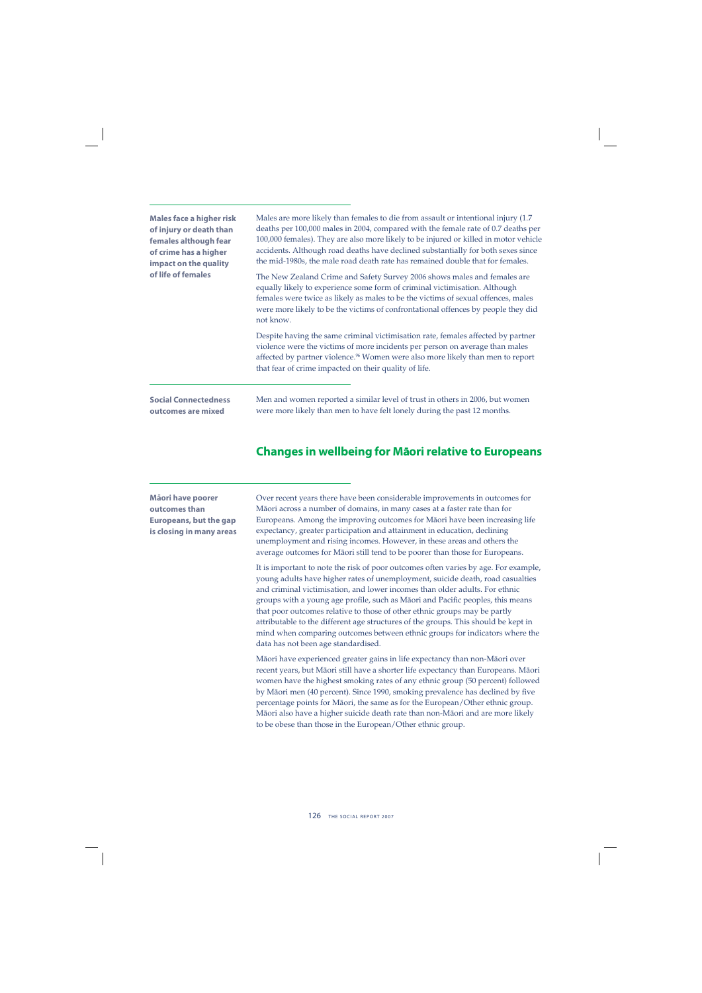| <b>Males face a higher risk</b><br>of injury or death than<br>females although fear<br>of crime has a higher<br>impact on the quality<br>of life of females | Males are more likely than females to die from assault or intentional injury (1.7)<br>deaths per 100,000 males in 2004, compared with the female rate of 0.7 deaths per<br>100,000 females). They are also more likely to be injured or killed in motor vehicle<br>accidents. Although road deaths have declined substantially for both sexes since<br>the mid-1980s, the male road death rate has remained double that for females.<br>The New Zealand Crime and Safety Survey 2006 shows males and females are<br>equally likely to experience some form of criminal victimisation. Although<br>females were twice as likely as males to be the victims of sexual offences, males<br>were more likely to be the victims of confrontational offences by people they did<br>not know. |
|-------------------------------------------------------------------------------------------------------------------------------------------------------------|---------------------------------------------------------------------------------------------------------------------------------------------------------------------------------------------------------------------------------------------------------------------------------------------------------------------------------------------------------------------------------------------------------------------------------------------------------------------------------------------------------------------------------------------------------------------------------------------------------------------------------------------------------------------------------------------------------------------------------------------------------------------------------------|
|                                                                                                                                                             | Despite having the same criminal victimisation rate, females affected by partner<br>violence were the victims of more incidents per person on average than males<br>affected by partner violence. <sup>96</sup> Women were also more likely than men to report<br>that fear of crime impacted on their quality of life.                                                                                                                                                                                                                                                                                                                                                                                                                                                               |
| <b>Social Connectedness</b><br>outcomes are mixed                                                                                                           | Men and women reported a similar level of trust in others in 2006, but women<br>were more likely than men to have felt lonely during the past 12 months.                                                                                                                                                                                                                                                                                                                                                                                                                                                                                                                                                                                                                              |

## **Changes in wellbeing for Māori relative to Europeans**

**Ma-ori have poorer outcomes than Europeans, but the gap is closing in many areas**

Over recent years there have been considerable improvements in outcomes for Mäori across a number of domains, in many cases at a faster rate than for Europeans. Among the improving outcomes for Mäori have been increasing life expectancy, greater participation and attainment in education, declining unemployment and rising incomes. However, in these areas and others the average outcomes for Mäori still tend to be poorer than those for Europeans.

It is important to note the risk of poor outcomes often varies by age. For example, young adults have higher rates of unemployment, suicide death, road casualties and criminal victimisation, and lower incomes than older adults. For ethnic groups with a young age profile, such as Māori and Pacific peoples, this means that poor outcomes relative to those of other ethnic groups may be partly attributable to the different age structures of the groups. This should be kept in mind when comparing outcomes between ethnic groups for indicators where the data has not been age standardised.

Mäori have experienced greater gains in life expectancy than non-Mäori over recent years, but Mäori still have a shorter life expectancy than Europeans. Mäori women have the highest smoking rates of any ethnic group (50 percent) followed by Māori men (40 percent). Since 1990, smoking prevalence has declined by five percentage points for Mäori, the same as for the European/Other ethnic group. Mäori also have a higher suicide death rate than non-Mäori and are more likely to be obese than those in the European/Other ethnic group.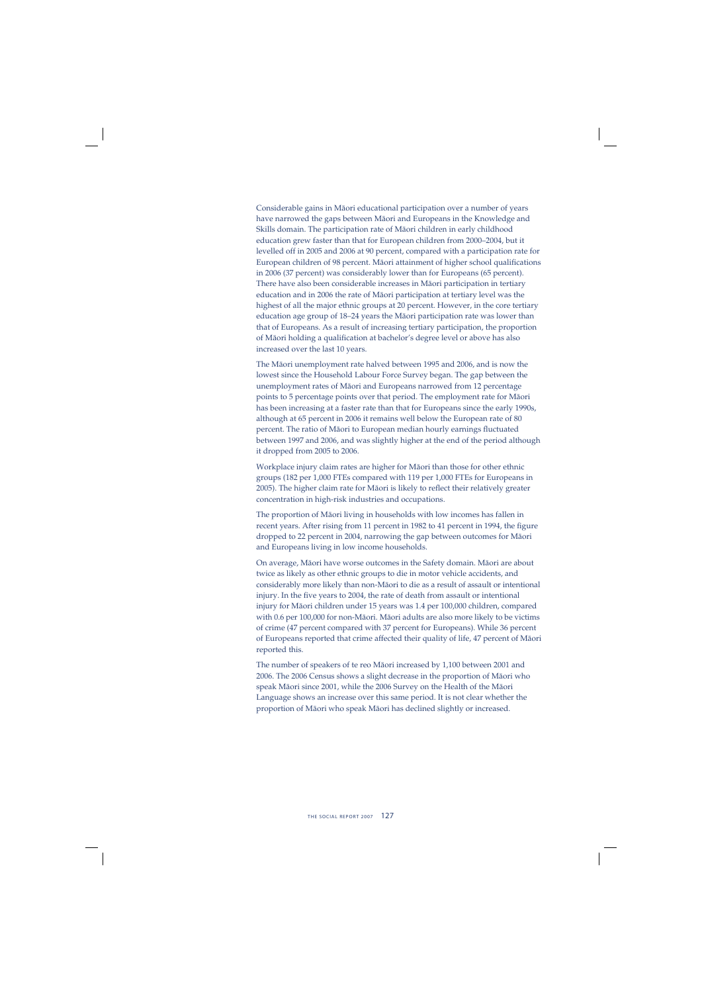Considerable gains in Mäori educational participation over a number of years have narrowed the gaps between Mäori and Europeans in the Knowledge and Skills domain. The participation rate of Mäori children in early childhood education grew faster than that for European children from 2000–2004, but it levelled off in 2005 and 2006 at 90 percent, compared with a participation rate for European children of 98 percent. Māori attainment of higher school qualifications in 2006 (37 percent) was considerably lower than for Europeans (65 percent). There have also been considerable increases in Mäori participation in tertiary education and in 2006 the rate of Mäori participation at tertiary level was the highest of all the major ethnic groups at 20 percent. However, in the core tertiary education age group of 18–24 years the Mäori participation rate was lower than that of Europeans. As a result of increasing tertiary participation, the proportion of Māori holding a qualification at bachelor's degree level or above has also increased over the last 10 years.

The Mäori unemployment rate halved between 1995 and 2006, and is now the lowest since the Household Labour Force Survey began. The gap between the unemployment rates of Mäori and Europeans narrowed from 12 percentage points to 5 percentage points over that period. The employment rate for Mäori has been increasing at a faster rate than that for Europeans since the early 1990s, although at 65 percent in 2006 it remains well below the European rate of 80 percent. The ratio of Māori to European median hourly earnings fluctuated between 1997 and 2006, and was slightly higher at the end of the period although it dropped from 2005 to 2006.

Workplace injury claim rates are higher for Mäori than those for other ethnic groups (182 per 1,000 FTEs compared with 119 per 1,000 FTEs for Europeans in 2005). The higher claim rate for Māori is likely to reflect their relatively greater concentration in high-risk industries and occupations.

The proportion of Mäori living in households with low incomes has fallen in recent years. After rising from 11 percent in 1982 to 41 percent in 1994, the figure dropped to 22 percent in 2004, narrowing the gap between outcomes for Mäori and Europeans living in low income households.

On average, Mäori have worse outcomes in the Safety domain. Mäori are about twice as likely as other ethnic groups to die in motor vehicle accidents, and considerably more likely than non-Mäori to die as a result of assault or intentional injury. In the five years to 2004, the rate of death from assault or intentional injury for Mäori children under 15 years was 1.4 per 100,000 children, compared with 0.6 per 100,000 for non-Mäori. Mäori adults are also more likely to be victims of crime (47 percent compared with 37 percent for Europeans). While 36 percent of Europeans reported that crime affected their quality of life, 47 percent of Mäori reported this.

The number of speakers of te reo Mäori increased by 1,100 between 2001 and 2006. The 2006 Census shows a slight decrease in the proportion of Mäori who speak Mäori since 2001, while the 2006 Survey on the Health of the Mäori Language shows an increase over this same period. It is not clear whether the proportion of Mäori who speak Mäori has declined slightly or increased.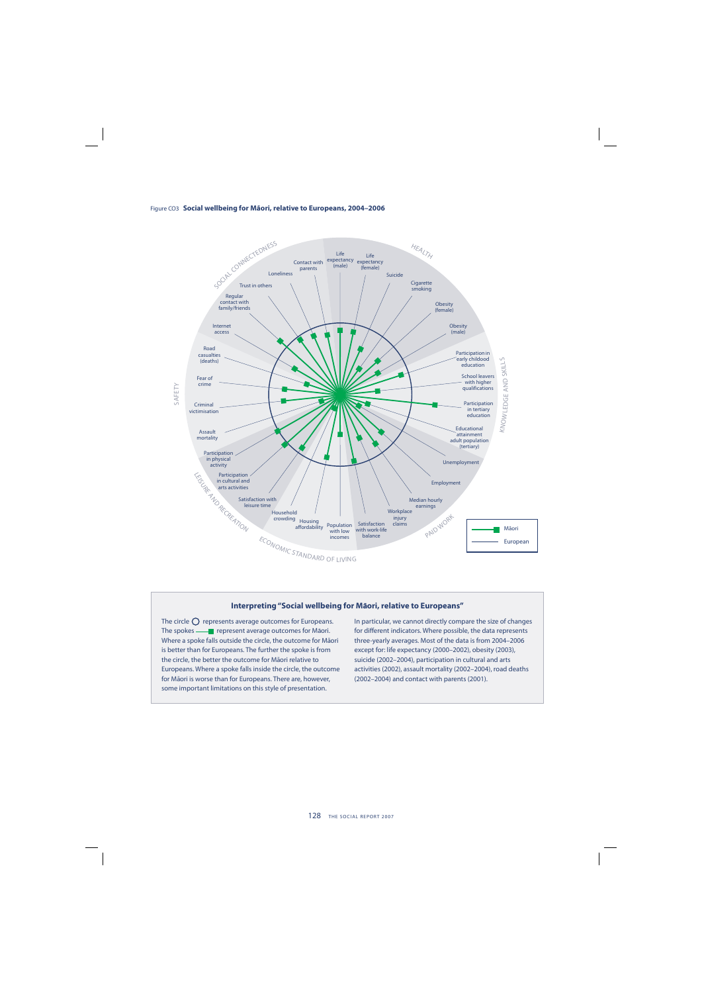



#### **Interpreting "Social wellbeing for Māori, relative to Europeans"**

The circle  $\bigcirc$  represents average outcomes for Europeans. The spokes — **Parthle** represent average outcomes for Māori. Where a spoke falls outside the circle, the outcome for Māori is better than for Europeans. The further the spoke is from the circle, the better the outcome for Māori relative to Europeans. Where a spoke falls inside the circle, the outcome for Māori is worse than for Europeans. There are, however, some important limitations on this style of presentation.

In particular, we cannot directly compare the size of changes for different indicators. Where possible, the data represents three-yearly averages. Most of the data is from 2004–2006 except for: life expectancy (2000–2002), obesity (2003), suicide (2002–2004), participation in cultural and arts activities (2002), assault mortality (2002–2004), road deaths (2002–2004) and contact with parents (2001).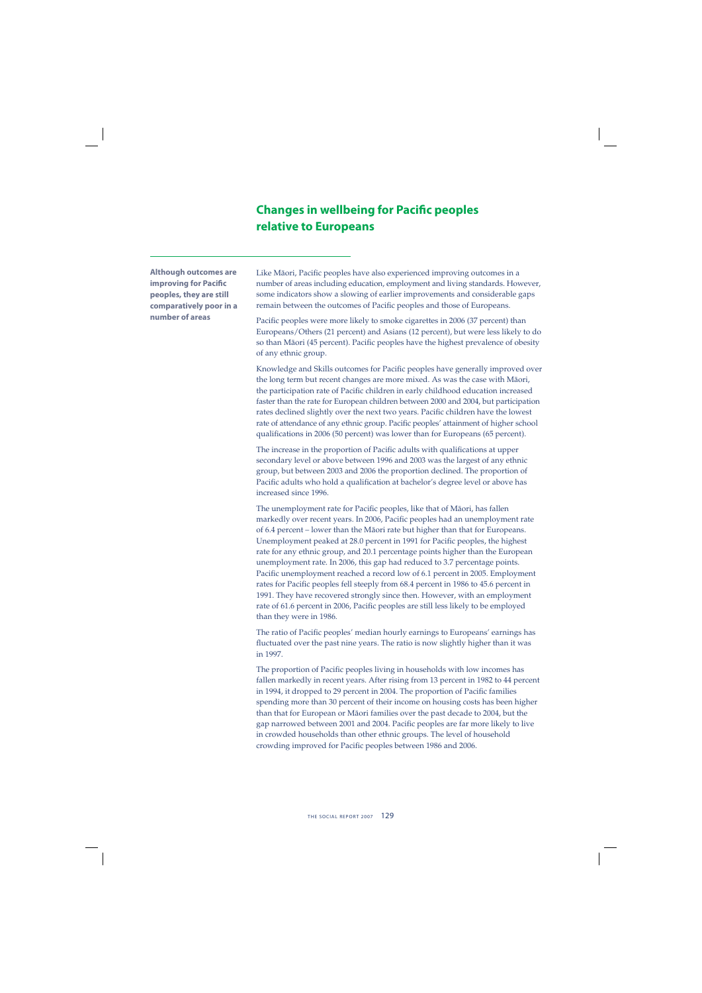## **Changes in wellbeing for Pacific peoples relative to Europeans**

**Although outcomes are improving for Pacific peoples, they are still comparatively poor in a number of areas**

Like Māori, Pacific peoples have also experienced improving outcomes in a number of areas including education, employment and living standards. However, some indicators show a slowing of earlier improvements and considerable gaps remain between the outcomes of Pacific peoples and those of Europeans.

Pacific peoples were more likely to smoke cigarettes in 2006 (37 percent) than Europeans/Others (21 percent) and Asians (12 percent), but were less likely to do so than Māori (45 percent). Pacific peoples have the highest prevalence of obesity of any ethnic group.

Knowledge and Skills outcomes for Pacific peoples have generally improved over the long term but recent changes are more mixed. As was the case with Mäori, the participation rate of Pacific children in early childhood education increased faster than the rate for European children between 2000 and 2004, but participation rates declined slightly over the next two years. Pacific children have the lowest rate of attendance of any ethnic group. Pacific peoples' attainment of higher school qualifications in 2006 (50 percent) was lower than for Europeans (65 percent).

The increase in the proportion of Pacific adults with qualifications at upper secondary level or above between 1996 and 2003 was the largest of any ethnic group, but between 2003 and 2006 the proportion declined. The proportion of Pacific adults who hold a qualification at bachelor's degree level or above has increased since 1996.

The unemployment rate for Pacific peoples, like that of Māori, has fallen markedly over recent years. In 2006, Pacific peoples had an unemployment rate of 6.4 percent – lower than the Mäori rate but higher than that for Europeans. Unemployment peaked at 28.0 percent in 1991 for Pacific peoples, the highest rate for any ethnic group, and 20.1 percentage points higher than the European unemployment rate. In 2006, this gap had reduced to 3.7 percentage points. Pacific unemployment reached a record low of 6.1 percent in 2005. Employment rates for Pacific peoples fell steeply from 68.4 percent in 1986 to 45.6 percent in 1991. They have recovered strongly since then. However, with an employment rate of 61.6 percent in 2006, Pacific peoples are still less likely to be employed than they were in 1986.

The ratio of Pacific peoples' median hourly earnings to Europeans' earnings has fluctuated over the past nine years. The ratio is now slightly higher than it was in 1997.

The proportion of Pacific peoples living in households with low incomes has fallen markedly in recent years. After rising from 13 percent in 1982 to 44 percent in 1994, it dropped to 29 percent in 2004. The proportion of Pacific families spending more than 30 percent of their income on housing costs has been higher than that for European or Mäori families over the past decade to 2004, but the gap narrowed between 2001 and 2004. Pacific peoples are far more likely to live in crowded households than other ethnic groups. The level of household crowding improved for Pacific peoples between 1986 and 2006.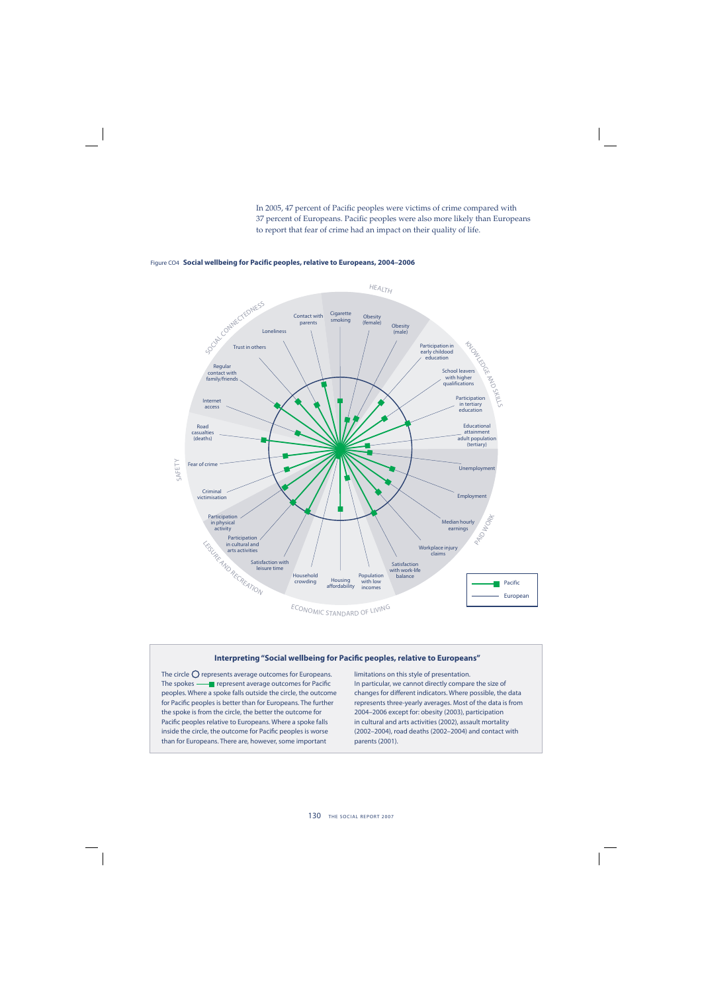In 2005, 47 percent of Pacific peoples were victims of crime compared with 37 percent of Europeans. Pacific peoples were also more likely than Europeans to report that fear of crime had an impact on their quality of life.



#### Figure CO4 **Social wellbeing for Pacific peoples, relative to Europeans, 2004–2006**

#### **Interpreting "Social wellbeing for Pacific peoples, relative to Europeans"**

The circle  $\bigcirc$  represents average outcomes for Europeans. The spokes **-** represent average outcomes for Pacific peoples. Where a spoke falls outside the circle, the outcome for Pacific peoples is better than for Europeans. The further the spoke is from the circle, the better the outcome for Pacific peoples relative to Europeans. Where a spoke falls inside the circle, the outcome for Pacific peoples is worse than for Europeans. There are, however, some important

limitations on this style of presentation. In particular, we cannot directly compare the size of changes for different indicators. Where possible, the data represents three-yearly averages. Most of the data is from 2004–2006 except for: obesity (2003), participation in cultural and arts activities (2002), assault mortality (2002–2004), road deaths (2002–2004) and contact with parents (2001).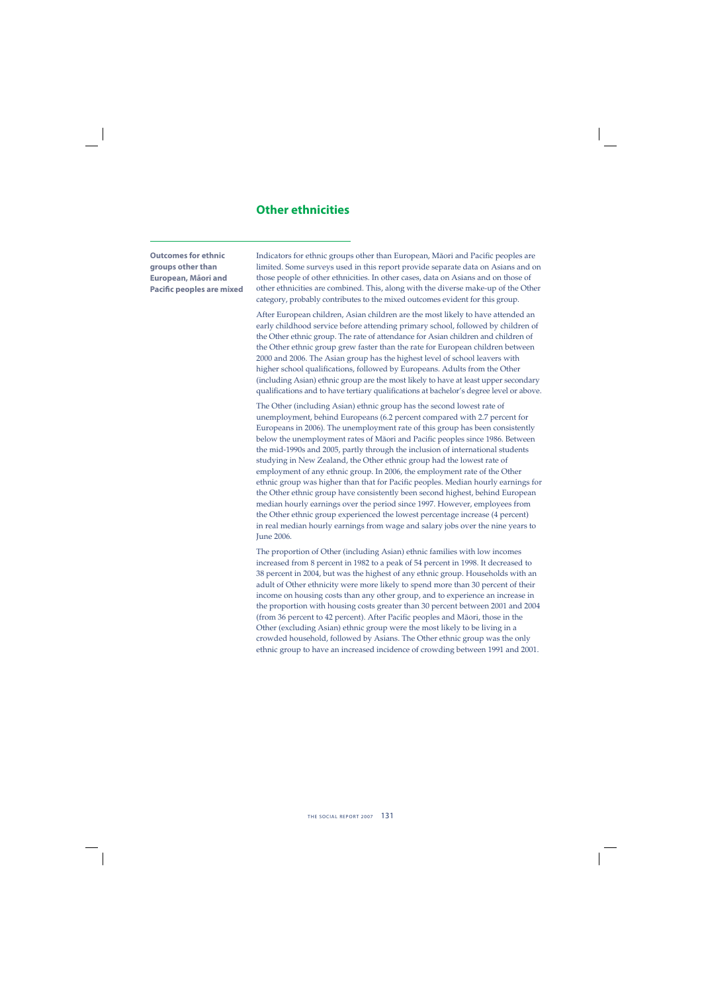### **Other ethnicities**

**Outcomes for ethnic groups other than European, Mäori and Pacific peoples are mixed**  Indicators for ethnic groups other than European, Māori and Pacific peoples are limited. Some surveys used in this report provide separate data on Asians and on those people of other ethnicities. In other cases, data on Asians and on those of other ethnicities are combined. This, along with the diverse make-up of the Other category, probably contributes to the mixed outcomes evident for this group.

After European children, Asian children are the most likely to have attended an early childhood service before attending primary school, followed by children of the Other ethnic group. The rate of attendance for Asian children and children of the Other ethnic group grew faster than the rate for European children between 2000 and 2006. The Asian group has the highest level of school leavers with higher school qualifications, followed by Europeans. Adults from the Other (including Asian) ethnic group are the most likely to have at least upper secondary qualifications and to have tertiary qualifications at bachelor's degree level or above.

The Other (including Asian) ethnic group has the second lowest rate of unemployment, behind Europeans (6.2 percent compared with 2.7 percent for Europeans in 2006). The unemployment rate of this group has been consistently below the unemployment rates of Māori and Pacific peoples since 1986. Between the mid-1990s and 2005, partly through the inclusion of international students studying in New Zealand, the Other ethnic group had the lowest rate of employment of any ethnic group. In 2006, the employment rate of the Other ethnic group was higher than that for Pacific peoples. Median hourly earnings for the Other ethnic group have consistently been second highest, behind European median hourly earnings over the period since 1997. However, employees from the Other ethnic group experienced the lowest percentage increase (4 percent) in real median hourly earnings from wage and salary jobs over the nine years to **June 2006.** 

The proportion of Other (including Asian) ethnic families with low incomes increased from 8 percent in 1982 to a peak of 54 percent in 1998. It decreased to 38 percent in 2004, but was the highest of any ethnic group. Households with an adult of Other ethnicity were more likely to spend more than 30 percent of their income on housing costs than any other group, and to experience an increase in the proportion with housing costs greater than 30 percent between 2001 and 2004 (from 36 percent to 42 percent). After Pacific peoples and Māori, those in the Other (excluding Asian) ethnic group were the most likely to be living in a crowded household, followed by Asians. The Other ethnic group was the only ethnic group to have an increased incidence of crowding between 1991 and 2001.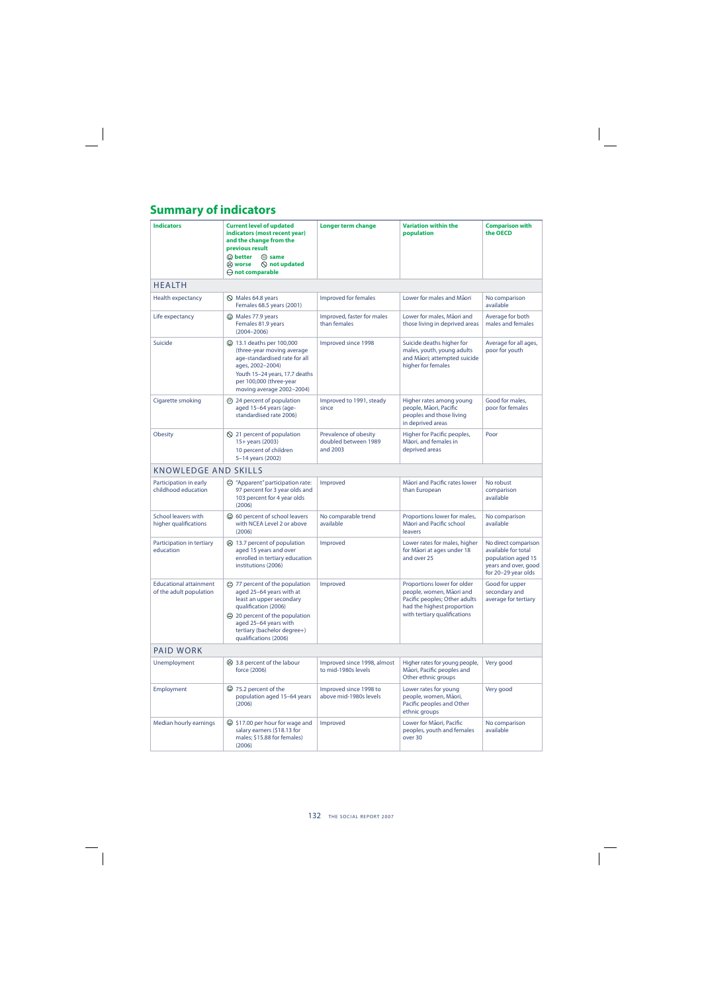## **Summary of indicators**

| <b>Indicators</b>                                        | <b>Current level of updated</b><br>indicators (most recent year)<br>and the change from the<br>previous result<br>$\odot$ better<br>$\odot$ same<br>$\bigcirc$ not updated<br>ි worse<br>$\ominus$ not comparable               | Longer term change                                        | <b>Variation within the</b><br>population                                                                                                              | <b>Comparison with</b><br>the OECD                                                                               |
|----------------------------------------------------------|---------------------------------------------------------------------------------------------------------------------------------------------------------------------------------------------------------------------------------|-----------------------------------------------------------|--------------------------------------------------------------------------------------------------------------------------------------------------------|------------------------------------------------------------------------------------------------------------------|
| <b>HEALTH</b>                                            |                                                                                                                                                                                                                                 |                                                           |                                                                                                                                                        |                                                                                                                  |
| <b>Health expectancy</b>                                 | $\oslash$ Males 64.8 years<br>Females 68.5 years (2001)                                                                                                                                                                         | Improved for females                                      | Lower for males and Maori                                                                                                                              | No comparison<br>available                                                                                       |
| Life expectancy                                          | C Males 77.9 years<br>Females 81.9 years<br>$(2004 - 2006)$                                                                                                                                                                     | Improved, faster for males<br>than females                | Lower for males, Māori and<br>those living in deprived areas                                                                                           | Average for both<br>males and females                                                                            |
| Suicide                                                  | $\odot$ 13.1 deaths per 100,000<br>(three-year moving average<br>age-standardised rate for all<br>ages, 2002-2004)<br>Youth 15-24 years, 17.7 deaths<br>per 100,000 (three-year<br>moving average 2002-2004)                    | Improved since 1998                                       | Suicide deaths higher for<br>males, youth, young adults<br>and Māori; attempted suicide<br>higher for females                                          | Average for all ages,<br>poor for youth                                                                          |
| Cigarette smoking                                        | 24 percent of population<br>aged 15-64 years (age-<br>standardised rate 2006)                                                                                                                                                   | Improved to 1991, steady<br>since                         | Higher rates among young<br>people, Māori, Pacific<br>peoples and those living<br>in deprived areas                                                    | Good for males,<br>poor for females                                                                              |
| <b>Obesity</b>                                           | $\bigcirc$ 21 percent of population<br>15+ years (2003)<br>10 percent of children<br>5-14 years (2002)                                                                                                                          | Prevalence of obesity<br>doubled between 1989<br>and 2003 | Higher for Pacific peoples,<br>Māori, and females in<br>deprived areas                                                                                 | Poor                                                                                                             |
| <b>KNOWLEDGE AND SKILLS</b>                              |                                                                                                                                                                                                                                 |                                                           |                                                                                                                                                        |                                                                                                                  |
| Participation in early<br>childhood education            | "Apparent" participation rate:<br>97 percent for 3 year olds and<br>103 percent for 4 year olds<br>(2006)                                                                                                                       | Improved                                                  | Māori and Pacific rates lower<br>than European                                                                                                         | No robust<br>comparison<br>available                                                                             |
| <b>School leavers with</b><br>higher qualifications      | © 60 percent of school leavers<br>with NCEA Level 2 or above<br>(2006)                                                                                                                                                          | No comparable trend<br>available                          | Proportions lower for males,<br>Māori and Pacific school<br>leavers                                                                                    | No comparison<br>available                                                                                       |
| Participation in tertiary<br>education                   | $\odot$ 13.7 percent of population<br>aged 15 years and over<br>enrolled in tertiary education<br>institutions (2006)                                                                                                           | Improved                                                  | Lower rates for males, higher<br>for Māori at ages under 18<br>and over 25                                                                             | No direct comparison<br>available for total<br>population aged 15<br>years and over, good<br>for 20-29 year olds |
| <b>Educational attainment</b><br>of the adult population | → 77 percent of the population<br>aged 25-64 years with at<br>least an upper secondary<br>qualification (2006)<br>20 percent of the population<br>aged 25-64 years with<br>tertiary (bachelor degree+)<br>qualifications (2006) | Improved                                                  | Proportions lower for older<br>people, women, Māori and<br>Pacific peoples; Other adults<br>had the highest proportion<br>with tertiary qualifications | Good for upper<br>secondary and<br>average for tertiary                                                          |
| <b>PAID WORK</b>                                         |                                                                                                                                                                                                                                 |                                                           |                                                                                                                                                        |                                                                                                                  |
| Unemployment                                             | $\odot$ 3.8 percent of the labour<br>force (2006)                                                                                                                                                                               | Improved since 1998, almost<br>to mid-1980s levels        | Higher rates for young people,<br>Māori, Pacific peoples and<br>Other ethnic groups                                                                    | Very good                                                                                                        |
| Employment                                               | $\circled{2}$ 75.2 percent of the<br>population aged 15-64 years<br>(2006)                                                                                                                                                      | Improved since 1998 to<br>above mid-1980s levels          | Lower rates for young<br>people, women, Māori,<br>Pacific peoples and Other<br>ethnic groups                                                           | Very good                                                                                                        |
| Median hourly earnings                                   | $\odot$ \$17.00 per hour for wage and<br>salary earners (\$18.13 for<br>males; \$15.88 for females)<br>(2006)                                                                                                                   | Improved                                                  | Lower for Māori, Pacific<br>peoples, youth and females<br>over 30                                                                                      | No comparison<br>available                                                                                       |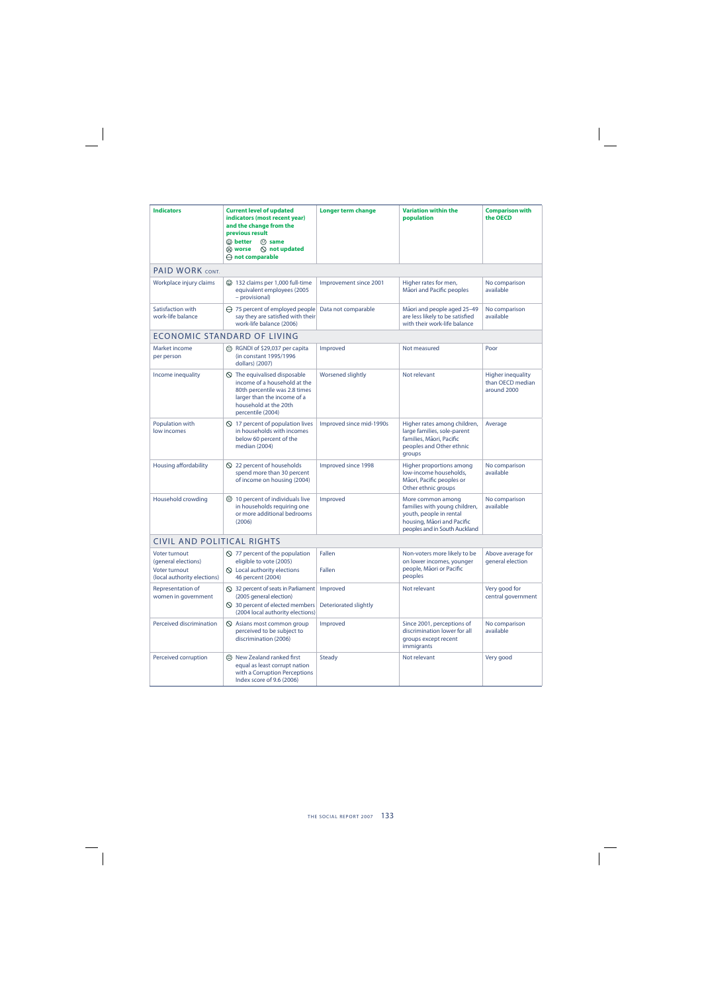| <b>Indicators</b>                                                                    | <b>Current level of updated</b><br>indicators (most recent year)<br>and the change from the<br>previous result<br>$\mathbf{\odot}$ better<br>$\odot$ same<br>$\oslash$ not updated<br>ි worse<br>$\ominus$ not comparable | Longer term change       | <b>Variation within the</b><br>population                                                                                                    | <b>Comparison with</b><br>the OECD                          |
|--------------------------------------------------------------------------------------|---------------------------------------------------------------------------------------------------------------------------------------------------------------------------------------------------------------------------|--------------------------|----------------------------------------------------------------------------------------------------------------------------------------------|-------------------------------------------------------------|
| PAID WORK CONT.                                                                      |                                                                                                                                                                                                                           |                          |                                                                                                                                              |                                                             |
| Workplace injury claims                                                              | 132 claims per 1,000 full-time<br>equivalent employees (2005<br>- provisional)                                                                                                                                            | Improvement since 2001   | Higher rates for men,<br>Māori and Pacific peoples                                                                                           | No comparison<br>available                                  |
| Satisfaction with<br>work-life balance                                               | $\ominus$ 75 percent of employed people<br>say they are satisfied with their<br>work-life balance (2006)                                                                                                                  | Data not comparable      | Māori and people aged 25-49<br>are less likely to be satisfied<br>with their work-life balance                                               | No comparison<br>available                                  |
|                                                                                      | <b>ECONOMIC STANDARD OF LIVING</b>                                                                                                                                                                                        |                          |                                                                                                                                              |                                                             |
| Market income<br>per person                                                          | $\circled{e}$ RGNDI of \$29,037 per capita<br>(in constant 1995/1996<br>dollars) (2007)                                                                                                                                   | Improved                 | Not measured                                                                                                                                 | Poor                                                        |
| Income inequality                                                                    | $\circled{S}$ The equivalised disposable<br>income of a household at the<br>80th percentile was 2.8 times<br>larger than the income of a<br>household at the 20th<br>percentile (2004)                                    | Worsened slightly        | Not relevant                                                                                                                                 | <b>Higher inequality</b><br>than OECD median<br>around 2000 |
| Population with<br>low incomes                                                       | $\Diamond$ 17 percent of population lives<br>in households with incomes<br>below 60 percent of the<br>median (2004)                                                                                                       | Improved since mid-1990s | Higher rates among children,<br>large families, sole-parent<br>families, Māori, Pacific<br>peoples and Other ethnic<br>groups                | Average                                                     |
| Housing affordability                                                                | $\bigcirc$ 22 percent of households<br>spend more than 30 percent<br>of income on housing (2004)                                                                                                                          | Improved since 1998      | Higher proportions among<br>low-income households,<br>Māori, Pacific peoples or<br>Other ethnic groups                                       | No comparison<br>available                                  |
| Household crowding                                                                   | $\bigcirc$ 10 percent of individuals live<br>in households requiring one<br>or more additional bedrooms<br>(2006)                                                                                                         | Improved                 | More common among<br>families with young children,<br>youth, people in rental<br>housing, Māori and Pacific<br>peoples and in South Auckland | No comparison<br>available                                  |
| CIVIL AND POLITICAL RIGHTS                                                           |                                                                                                                                                                                                                           |                          |                                                                                                                                              |                                                             |
| Voter turnout<br>(general elections)<br>Voter turnout<br>(local authority elections) | $\Diamond$ 77 percent of the population<br>eligible to vote (2005)<br>$\Diamond$ Local authority elections<br>46 percent (2004)                                                                                           | Fallen<br>Fallen         | Non-voters more likely to be<br>on lower incomes, younger<br>people, Mãori or Pacific<br>peoples                                             | Above average for<br>general election                       |
| Representation of<br>women in government                                             | $\bigcirc$ 32 percent of seats in Parliament   Improved<br>(2005 general election)<br>$\oslash$ 30 percent of elected members<br>(2004 local authority elections)                                                         | Deteriorated slightly    | Not relevant                                                                                                                                 | Very good for<br>central government                         |
| Perceived discrimination                                                             | $\Diamond$ Asians most common group<br>perceived to be subject to<br>discrimination (2006)                                                                                                                                | Improved                 | Since 2001, perceptions of<br>discrimination lower for all<br>groups except recent<br>immigrants                                             | No comparison<br>available                                  |
| Perceived corruption                                                                 | ⊙ New Zealand ranked first<br>equal as least corrupt nation<br>with a Corruption Perceptions<br>Index score of 9.6 (2006)                                                                                                 | <b>Steady</b>            | Not relevant                                                                                                                                 | Very good                                                   |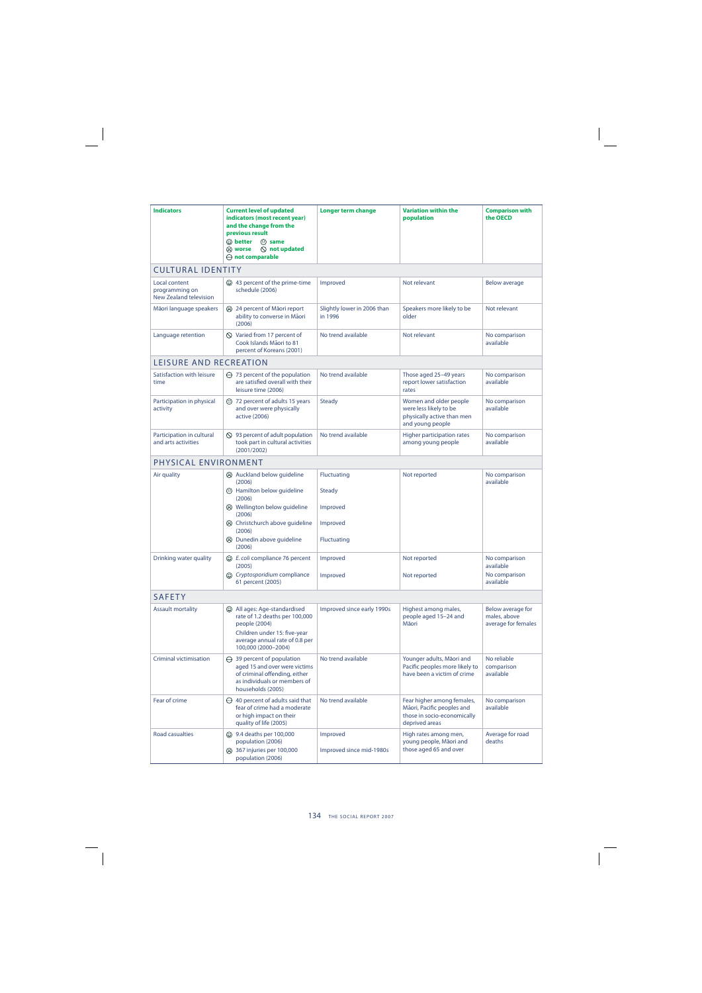| <b>Indicators</b>                                                | <b>Current level of updated</b><br>indicators (most recent year)<br>and the change from the<br>previous result<br>$\mathbb{\odot}$ better<br>$\odot$ same<br>$\oslash$ not updated<br>ඹ worse<br>$\ominus$ not comparable | <b>Longer term change</b>              | <b>Variation within the</b><br>population                                                                 | <b>Comparison with</b><br>the OECD                       |  |
|------------------------------------------------------------------|---------------------------------------------------------------------------------------------------------------------------------------------------------------------------------------------------------------------------|----------------------------------------|-----------------------------------------------------------------------------------------------------------|----------------------------------------------------------|--|
| <b>CULTURAL IDENTITY</b>                                         |                                                                                                                                                                                                                           |                                        |                                                                                                           |                                                          |  |
| Local content<br>programming on<br><b>New Zealand television</b> | ⊙ 43 percent of the prime-time<br>schedule (2006)                                                                                                                                                                         | Improved                               | Not relevant                                                                                              | <b>Below average</b>                                     |  |
| Māori language speakers                                          | 24 percent of Maori report<br>ability to converse in Māori<br>(2006)                                                                                                                                                      | Slightly lower in 2006 than<br>in 1996 | Speakers more likely to be<br>older                                                                       | Not relevant                                             |  |
| Language retention                                               | $\Diamond$ Varied from 17 percent of<br>Cook Islands Māori to 81<br>percent of Koreans (2001)                                                                                                                             | No trend available                     | Not relevant                                                                                              | No comparison<br>available                               |  |
| LEISURE AND RECREATION                                           |                                                                                                                                                                                                                           |                                        |                                                                                                           |                                                          |  |
| Satisfaction with leisure<br>time                                | $\ominus$ 73 percent of the population<br>are satisfied overall with their<br>leisure time (2006)                                                                                                                         | No trend available                     | Those aged 25-49 years<br>report lower satisfaction<br>rates                                              | No comparison<br>available                               |  |
| Participation in physical<br>activity                            | <sup>2</sup> 72 percent of adults 15 years<br>and over were physically<br>active (2006)                                                                                                                                   | <b>Steady</b>                          | Women and older people<br>were less likely to be<br>physically active than men<br>and young people        | No comparison<br>available                               |  |
| Participation in cultural<br>and arts activities                 | $\bigcirc$ 93 percent of adult population<br>took part in cultural activities<br>(2001/2002)                                                                                                                              | No trend available                     | Higher participation rates<br>among young people                                                          | No comparison<br>available                               |  |
| PHYSICAL ENVIRONMENT                                             |                                                                                                                                                                                                                           |                                        |                                                                                                           |                                                          |  |
| Air quality                                                      | Auckland below guideline                                                                                                                                                                                                  | <b>Fluctuating</b>                     | Not reported                                                                                              | No comparison                                            |  |
|                                                                  | (2006)<br><sup>5</sup> Hamilton below guideline<br>(2006)                                                                                                                                                                 | <b>Steady</b>                          |                                                                                                           | available                                                |  |
|                                                                  | <b>ⓒ</b> Wellington below guideline<br>(2006)                                                                                                                                                                             | Improved                               |                                                                                                           |                                                          |  |
|                                                                  | heristchurch above quideline<br>(2006)                                                                                                                                                                                    | Improved                               |                                                                                                           |                                                          |  |
|                                                                  | (3) Dunedin above quideline<br>(2006)                                                                                                                                                                                     | <b>Fluctuating</b>                     |                                                                                                           |                                                          |  |
| Drinking water quality                                           | C E. coli compliance 76 percent<br>(2005)                                                                                                                                                                                 | Improved                               | Not reported                                                                                              | No comparison<br>available                               |  |
|                                                                  | <b>c</b> Cryptosporidium compliance<br>61 percent (2005)                                                                                                                                                                  | Improved                               | Not reported                                                                                              | No comparison<br>available                               |  |
| <b>SAFETY</b>                                                    |                                                                                                                                                                                                                           |                                        |                                                                                                           |                                                          |  |
| <b>Assault mortality</b>                                         | (C) All ages: Age-standardised<br>rate of 1.2 deaths per 100,000<br>people (2004)<br>Children under 15: five-year<br>average annual rate of 0.8 per<br>100,000 (2000-2004)                                                | Improved since early 1990s             | Highest among males,<br>people aged 15-24 and<br>Māori                                                    | Below average for<br>males, above<br>average for females |  |
| Criminal victimisation                                           | $\ominus$ 39 percent of population<br>aged 15 and over were victims<br>of criminal offending, either<br>as individuals or members of<br>households (2005)                                                                 | No trend available                     | Younger adults, Māori and<br>Pacific peoples more likely to<br>have been a victim of crime                | No reliable<br>comparison<br>available                   |  |
| Fear of crime                                                    | $\ominus$ 40 percent of adults said that<br>fear of crime had a moderate<br>or high impact on their<br>quality of life (2005)                                                                                             | No trend available                     | Fear higher among females,<br>Māori, Pacific peoples and<br>those in socio-economically<br>deprived areas | No comparison<br>available                               |  |
| Road casualties                                                  | <b>3.4 deaths per 100,000</b><br>population (2006)<br>(3) 367 injuries per 100,000<br>population (2006)                                                                                                                   | Improved<br>Improved since mid-1980s   | High rates among men,<br>young people, Māori and<br>those aged 65 and over                                | Average for road<br>deaths                               |  |